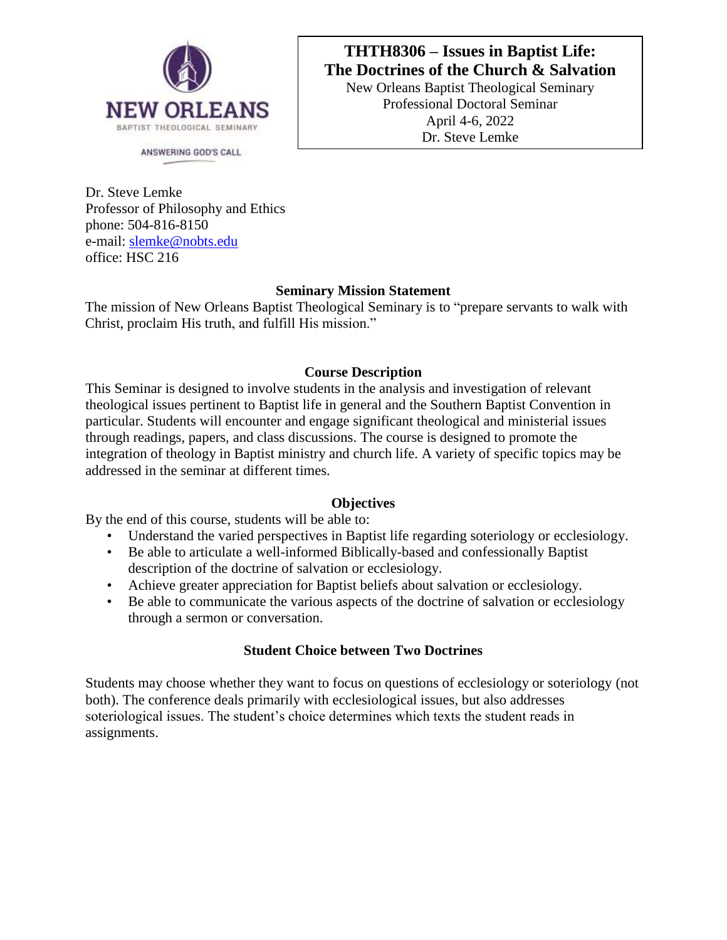

ANSWERING GOD'S CALL

# **THTH8306 – Issues in Baptist Life: The Doctrines of the Church & Salvation**

New Orleans Baptist Theological Seminary Professional Doctoral Seminar April 4-6, 2022 Dr. Steve Lemke

Dr. Steve Lemke Professor of Philosophy and Ethics phone: 504-816-8150 e-mail: [slemke@nobts.edu](mailto:slemke@nobts.edu) office: HSC 216

# **Seminary Mission Statement**

The mission of New Orleans Baptist Theological Seminary is to "prepare servants to walk with Christ, proclaim His truth, and fulfill His mission."

# **Course Description**

This Seminar is designed to involve students in the analysis and investigation of relevant theological issues pertinent to Baptist life in general and the Southern Baptist Convention in particular. Students will encounter and engage significant theological and ministerial issues through readings, papers, and class discussions. The course is designed to promote the integration of theology in Baptist ministry and church life. A variety of specific topics may be addressed in the seminar at different times.

## **Objectives**

By the end of this course, students will be able to:

- Understand the varied perspectives in Baptist life regarding soteriology or ecclesiology.
- Be able to articulate a well-informed Biblically-based and confessionally Baptist description of the doctrine of salvation or ecclesiology.
- Achieve greater appreciation for Baptist beliefs about salvation or ecclesiology.
- Be able to communicate the various aspects of the doctrine of salvation or ecclesiology through a sermon or conversation.

# **Student Choice between Two Doctrines**

Students may choose whether they want to focus on questions of ecclesiology or soteriology (not both). The conference deals primarily with ecclesiological issues, but also addresses soteriological issues. The student's choice determines which texts the student reads in assignments.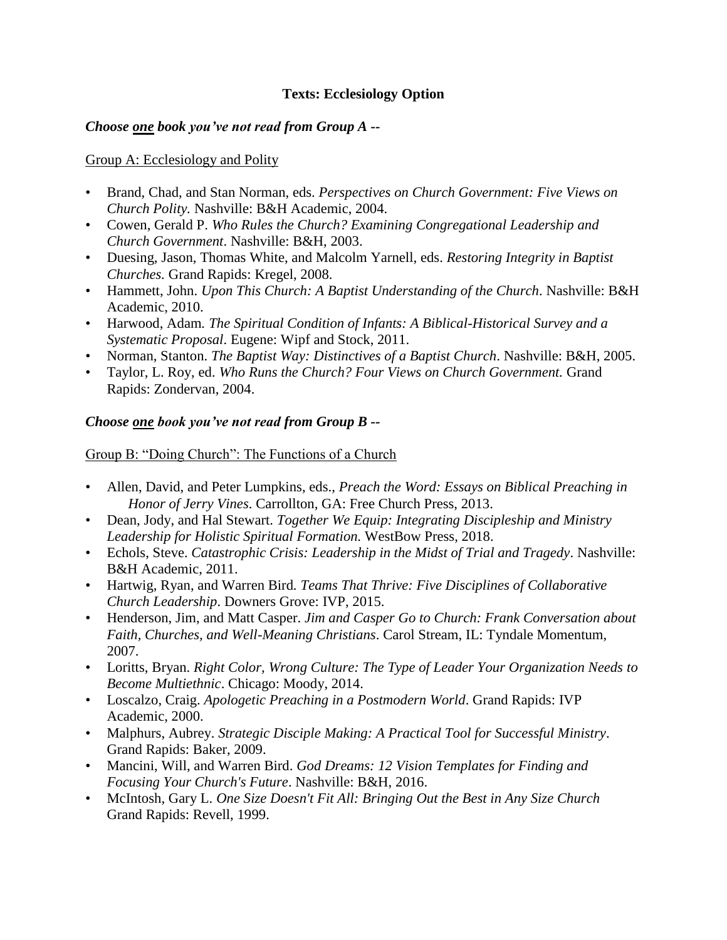## **Texts: Ecclesiology Option**

## *Choose one book you've not read from Group A --*

## Group A: Ecclesiology and Polity

- Brand, Chad, and Stan Norman, eds. *Perspectives on Church Government: Five Views on Church Polity.* Nashville: B&H Academic, 2004.
- Cowen, Gerald P. *Who Rules the Church? Examining Congregational Leadership and Church Government*. Nashville: B&H, 2003.
- Duesing, Jason, Thomas White, and Malcolm Yarnell, eds. *Restoring Integrity in Baptist Churches.* Grand Rapids: Kregel, 2008.
- Hammett, John. *Upon This Church: A Baptist Understanding of the Church*. Nashville: B&H Academic, 2010.
- Harwood, Adam*. The Spiritual Condition of Infants: A Biblical-Historical Survey and a Systematic Proposal*. Eugene: Wipf and Stock, 2011.
- Norman, Stanton. *The Baptist Way: Distinctives of a Baptist Church*. Nashville: B&H, 2005.
- Taylor, L. Roy, ed. *Who Runs the Church? Four Views on Church Government.* Grand Rapids: Zondervan, 2004.

## *Choose one book you've not read from Group B --*

Group B: "Doing Church": The Functions of a Church

- Allen, David, and Peter Lumpkins, eds., *Preach the Word: Essays on Biblical Preaching in Honor of Jerry Vines*. Carrollton, GA: Free Church Press, 2013.
- Dean, Jody, and Hal Stewart. *Together We Equip: Integrating Discipleship and Ministry Leadership for Holistic Spiritual Formation.* WestBow Press, 2018.
- Echols, Steve. *Catastrophic Crisis: Leadership in the Midst of Trial and Tragedy*. Nashville: B&H Academic, 2011.
- Hartwig, Ryan, and Warren Bird*. Teams That Thrive: Five Disciplines of Collaborative Church Leadership*. Downers Grove: IVP, 2015.
- Henderson, Jim, and Matt Casper. *Jim and Casper Go to Church: Frank Conversation about Faith, Churches, and Well-Meaning Christians*. Carol Stream, IL: Tyndale Momentum, 2007.
- Loritts, Bryan. *Right Color, Wrong Culture: The Type of Leader Your Organization Needs to Become Multiethnic*. Chicago: Moody, 2014.
- Loscalzo, Craig. *Apologetic Preaching in a Postmodern World*. Grand Rapids: IVP Academic, 2000.
- Malphurs, Aubrey. *Strategic Disciple Making: A Practical Tool for Successful Ministry*. Grand Rapids: Baker, 2009.
- Mancini, Will, and Warren Bird. *God Dreams: 12 Vision Templates for Finding and Focusing Your Church's Future*. Nashville: B&H, 2016.
- McIntosh, Gary L. *One Size Doesn't Fit All: Bringing Out the Best in Any Size Church* Grand Rapids: Revell, 1999.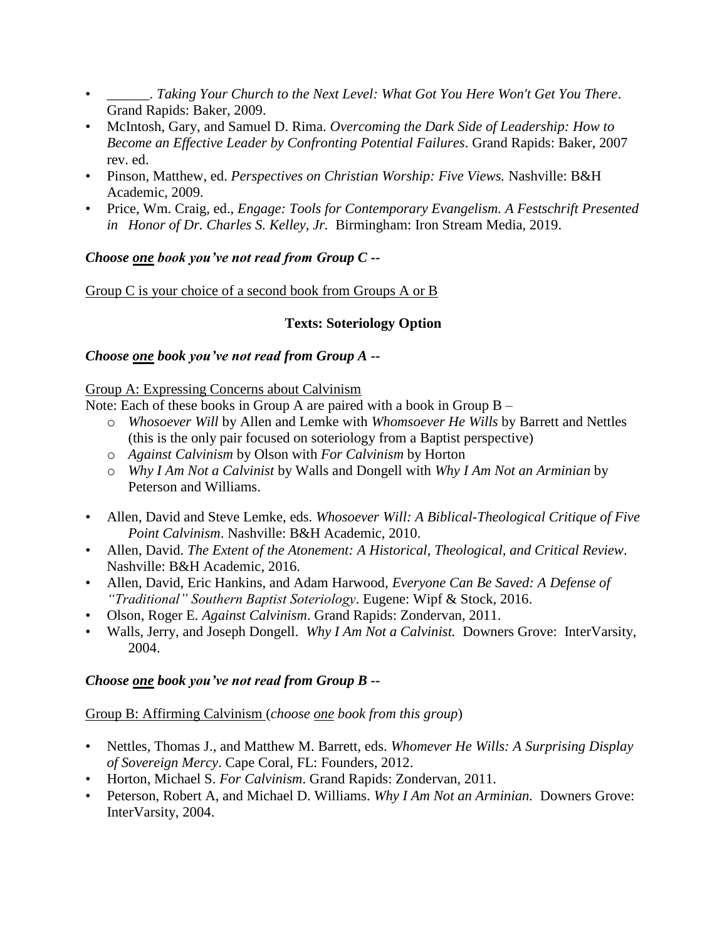- \_\_\_\_\_\_. *Taking Your Church to the Next Level: What Got You Here Won't Get You There*. Grand Rapids: Baker, 2009.
- McIntosh, Gary, and Samuel D. Rima. *Overcoming the Dark Side of Leadership: How to Become an Effective Leader by Confronting Potential Failures*. Grand Rapids: Baker, 2007 rev. ed.
- Pinson, Matthew, ed. *Perspectives on Christian Worship: Five Views.* Nashville: B&H Academic, 2009.
- Price, Wm. Craig, ed., *Engage: Tools for Contemporary Evangelism. A Festschrift Presented in Honor of Dr. Charles S. Kelley, Jr.* Birmingham: Iron Stream Media, 2019.

## *Choose one book you've not read from Group C --*

Group C is your choice of a second book from Groups A or B

## **Texts: Soteriology Option**

## *Choose one book you've not read from Group A --*

### Group A: Expressing Concerns about Calvinism

Note: Each of these books in Group A are paired with a book in Group B –

- o *Whosoever Will* by Allen and Lemke with *Whomsoever He Wills* by Barrett and Nettles (this is the only pair focused on soteriology from a Baptist perspective)
- o *Against Calvinism* by Olson with *For Calvinism* by Horton
- o *Why I Am Not a Calvinist* by Walls and Dongell with *Why I Am Not an Arminian* by Peterson and Williams.
- Allen, David and Steve Lemke, eds. *Whosoever Will: A Biblical-Theological Critique of Five Point Calvinism*. Nashville: B&H Academic, 2010.
- Allen, David. *The Extent of the Atonement: A Historical, Theological, and Critical Review*. Nashville: B&H Academic, 2016.
- Allen, David, Eric Hankins, and Adam Harwood, *Everyone Can Be Saved: A Defense of "Traditional" Southern Baptist Soteriology*. Eugene: Wipf & Stock, 2016.
- Olson, Roger E. *Against Calvinism*. Grand Rapids: Zondervan, 2011.
- Walls, Jerry, and Joseph Dongell. *Why I Am Not a Calvinist.* Downers Grove: InterVarsity, 2004.

## *Choose one book you've not read from Group B --*

## Group B: Affirming Calvinism (*choose one book from this group*)

- Nettles, Thomas J., and Matthew M. Barrett, eds. *Whomever He Wills: A Surprising Display of Sovereign Mercy*. Cape Coral, FL: Founders, 2012.
- Horton, Michael S. *For Calvinism*. Grand Rapids: Zondervan, 2011.
- Peterson, Robert A, and Michael D. Williams. *Why I Am Not an Arminian.* Downers Grove: InterVarsity, 2004.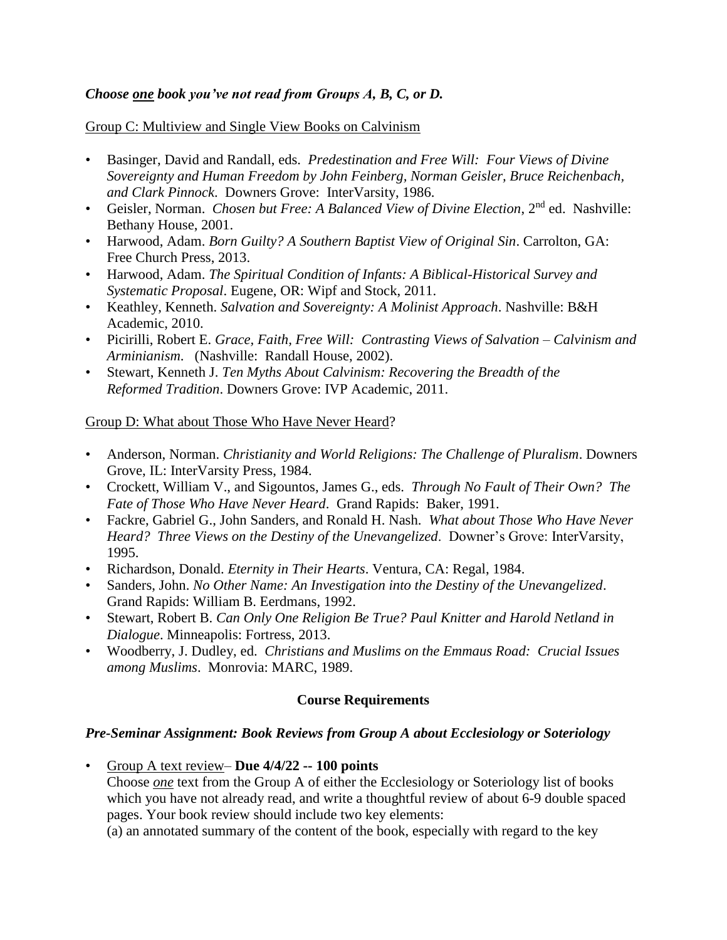## *Choose one book you've not read from Groups A, B, C, or D.*

Group C: Multiview and Single View Books on Calvinism

- Basinger, David and Randall, eds. *Predestination and Free Will: Four Views of Divine Sovereignty and Human Freedom by John Feinberg, Norman Geisler, Bruce Reichenbach, and Clark Pinnock*. Downers Grove: InterVarsity, 1986.
- Geisler, Norman. *Chosen but Free: A Balanced View of Divine Election*, 2nd ed. Nashville: Bethany House, 2001.
- Harwood, Adam. *Born Guilty? A Southern Baptist View of Original Sin*. Carrolton, GA: Free Church Press, 2013.
- Harwood, Adam. *The Spiritual Condition of Infants: A Biblical-Historical Survey and Systematic Proposal*. Eugene, OR: Wipf and Stock, 2011.
- Keathley, Kenneth. *Salvation and Sovereignty: A Molinist Approach*. Nashville: B&H Academic, 2010.
- Picirilli, Robert E. *Grace, Faith, Free Will: Contrasting Views of Salvation – Calvinism and Arminianism*. (Nashville: Randall House, 2002).
- Stewart, Kenneth J. *Ten Myths About Calvinism: Recovering the Breadth of the Reformed Tradition*. Downers Grove: IVP Academic, 2011.

### Group D: What about Those Who Have Never Heard?

- Anderson, Norman. *Christianity and World Religions: The Challenge of Pluralism*. Downers Grove, IL: InterVarsity Press, 1984.
- Crockett, William V., and Sigountos, James G., eds. *Through No Fault of Their Own? The Fate of Those Who Have Never Heard*. Grand Rapids: Baker, 1991.
- Fackre, Gabriel G., John Sanders, and Ronald H. Nash. *What about Those Who Have Never Heard? Three Views on the Destiny of the Unevangelized*. Downer's Grove: InterVarsity, 1995.
- Richardson, Donald. *Eternity in Their Hearts*. Ventura, CA: Regal, 1984.
- Sanders, John. *No Other Name: An Investigation into the Destiny of the Unevangelized*. Grand Rapids: William B. Eerdmans, 1992.
- Stewart, Robert B. *Can Only One Religion Be True? Paul Knitter and Harold Netland in Dialogue*. Minneapolis: Fortress, 2013.
- Woodberry, J. Dudley, ed. *Christians and Muslims on the Emmaus Road: Crucial Issues among Muslims*. Monrovia: MARC, 1989.

## **Course Requirements**

## *Pre-Seminar Assignment: Book Reviews from Group A about Ecclesiology or Soteriology*

• Group A text review– **Due 4/4/22 -- 100 points** Choose *one* text from the Group A of either the Ecclesiology or Soteriology list of books which you have not already read, and write a thoughtful review of about 6-9 double spaced pages. Your book review should include two key elements:

(a) an annotated summary of the content of the book, especially with regard to the key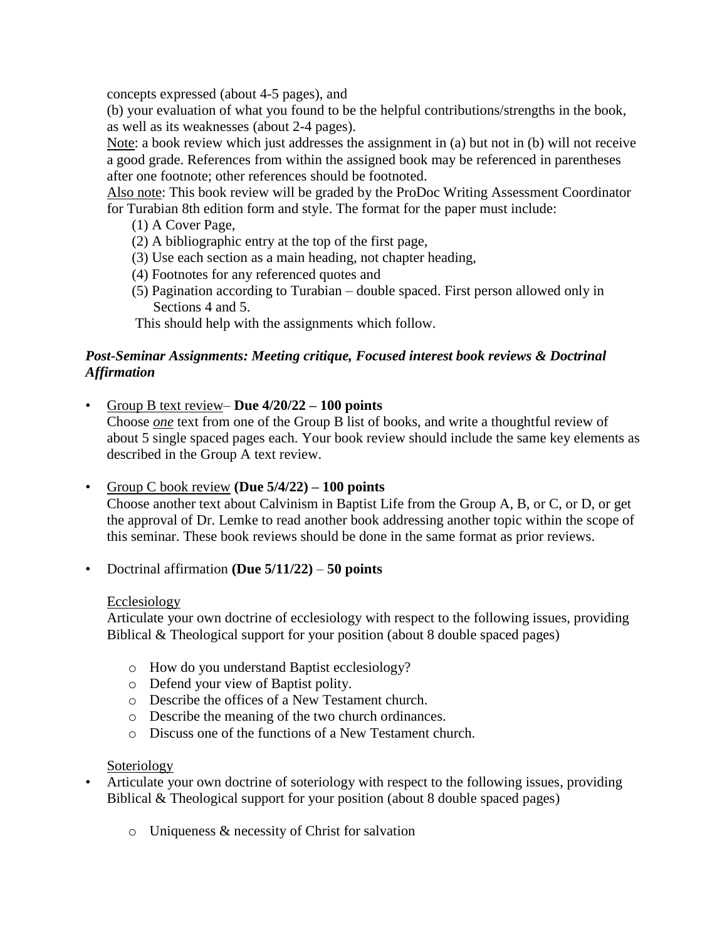concepts expressed (about 4-5 pages), and

(b) your evaluation of what you found to be the helpful contributions/strengths in the book, as well as its weaknesses (about 2-4 pages).

Note: a book review which just addresses the assignment in (a) but not in (b) will not receive a good grade. References from within the assigned book may be referenced in parentheses after one footnote; other references should be footnoted.

Also note: This book review will be graded by the ProDoc Writing Assessment Coordinator for Turabian 8th edition form and style. The format for the paper must include:

- (1) A Cover Page,
- (2) A bibliographic entry at the top of the first page,
- (3) Use each section as a main heading, not chapter heading,
- (4) Footnotes for any referenced quotes and
- (5) Pagination according to Turabian double spaced. First person allowed only in Sections 4 and 5.

This should help with the assignments which follow.

## *Post-Seminar Assignments: Meeting critique, Focused interest book reviews & Doctrinal Affirmation*

• Group B text review– **Due 4/20/22 – 100 points**

Choose *one* text from one of the Group B list of books, and write a thoughtful review of about 5 single spaced pages each. Your book review should include the same key elements as described in the Group A text review.

## • Group C book review **(Due 5/4/22) – 100 points**

Choose another text about Calvinism in Baptist Life from the Group A, B, or C, or D, or get the approval of Dr. Lemke to read another book addressing another topic within the scope of this seminar. These book reviews should be done in the same format as prior reviews.

• Doctrinal affirmation **(Due 5/11/22)** – **50 points**

## Ecclesiology

Articulate your own doctrine of ecclesiology with respect to the following issues, providing Biblical & Theological support for your position (about 8 double spaced pages)

- o How do you understand Baptist ecclesiology?
- o Defend your view of Baptist polity.
- o Describe the offices of a New Testament church.
- o Describe the meaning of the two church ordinances.
- o Discuss one of the functions of a New Testament church.

# Soteriology

- Articulate your own doctrine of soteriology with respect to the following issues, providing Biblical & Theological support for your position (about 8 double spaced pages)
	- o Uniqueness & necessity of Christ for salvation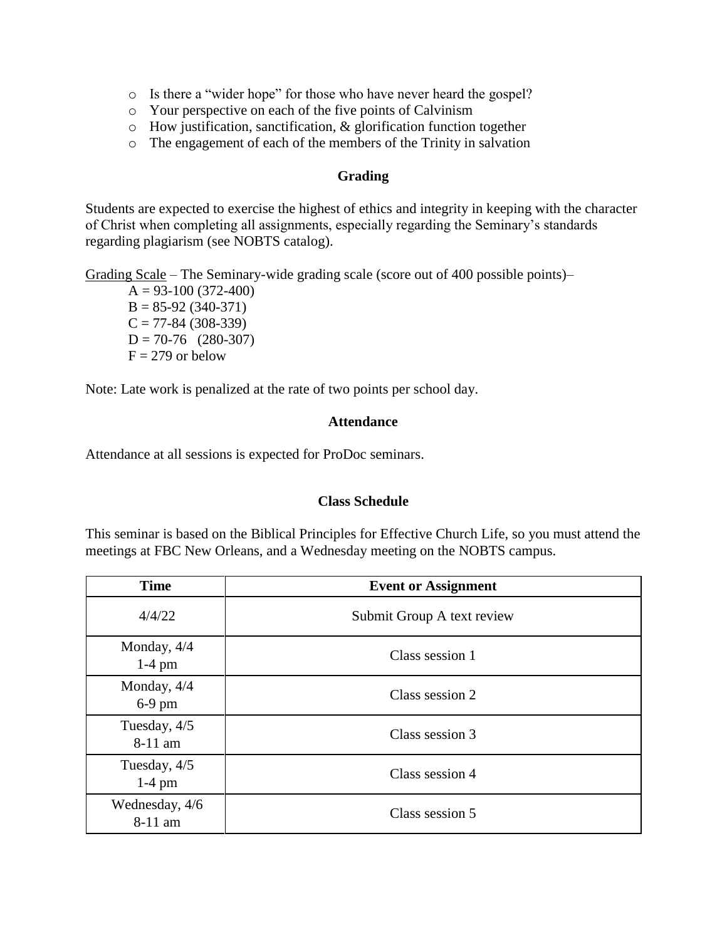- o Is there a "wider hope" for those who have never heard the gospel?
- o Your perspective on each of the five points of Calvinism
- o How justification, sanctification, & glorification function together
- o The engagement of each of the members of the Trinity in salvation

### **Grading**

Students are expected to exercise the highest of ethics and integrity in keeping with the character of Christ when completing all assignments, especially regarding the Seminary's standards regarding plagiarism (see NOBTS catalog).

Grading Scale – The Seminary-wide grading scale (score out of 400 possible points)–

 $A = 93-100(372-400)$  $B = 85-92(340-371)$  $C = 77-84 (308-339)$  $D = 70-76$  (280-307)  $F = 279$  or below

Note: Late work is penalized at the rate of two points per school day.

### **Attendance**

Attendance at all sessions is expected for ProDoc seminars.

#### **Class Schedule**

This seminar is based on the Biblical Principles for Effective Church Life, so you must attend the meetings at FBC New Orleans, and a Wednesday meeting on the NOBTS campus.

| <b>Time</b>               | <b>Event or Assignment</b> |
|---------------------------|----------------------------|
| 4/4/22                    | Submit Group A text review |
| Monday, $4/4$<br>$1-4$ pm | Class session 1            |
| Monday, $4/4$<br>$6-9$ pm | Class session 2            |
| Tuesday, 4/5<br>8-11 am   | Class session 3            |
| Tuesday, 4/5<br>$1-4$ pm  | Class session 4            |
| Wednesday, 4/6<br>8-11 am | Class session 5            |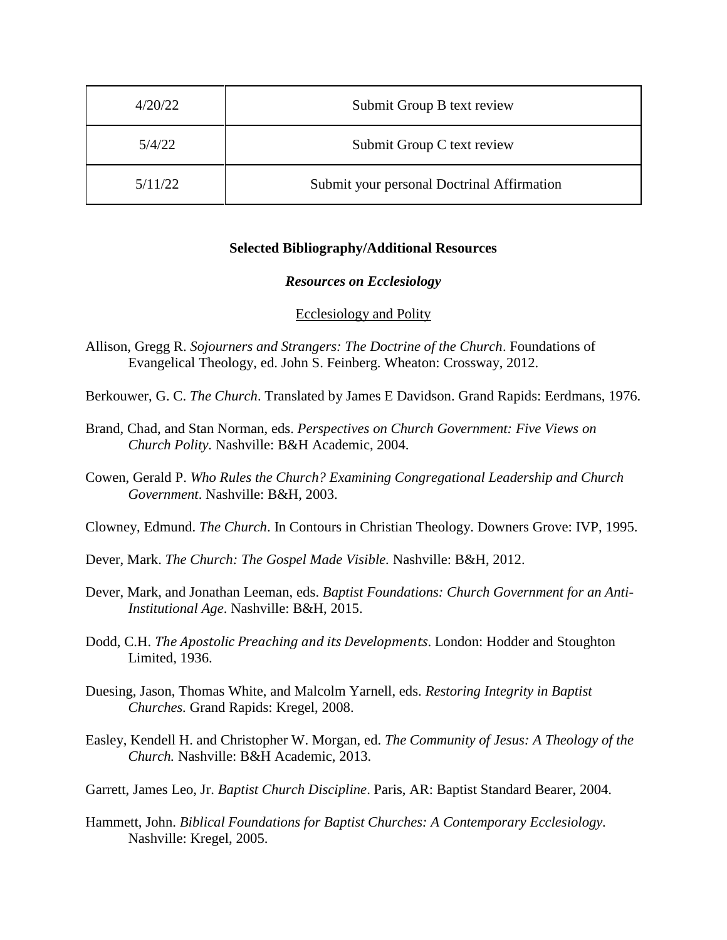| 4/20/22 | Submit Group B text review                 |
|---------|--------------------------------------------|
| 5/4/22  | Submit Group C text review                 |
| 5/11/22 | Submit your personal Doctrinal Affirmation |

#### **Selected Bibliography/Additional Resources**

#### *Resources on Ecclesiology*

#### Ecclesiology and Polity

- Allison, Gregg R. *Sojourners and Strangers: The Doctrine of the Church*. Foundations of Evangelical Theology, ed. John S. Feinberg. Wheaton: Crossway, 2012.
- Berkouwer, G. C. *The Church*. Translated by James E Davidson. Grand Rapids: Eerdmans, 1976.
- Brand, Chad, and Stan Norman, eds. *Perspectives on Church Government: Five Views on Church Polity.* Nashville: B&H Academic, 2004.
- Cowen, Gerald P. *Who Rules the Church? Examining Congregational Leadership and Church Government*. Nashville: B&H, 2003.
- Clowney, Edmund. *The Church*. In Contours in Christian Theology. Downers Grove: IVP, 1995.
- Dever, Mark. *The Church: The Gospel Made Visible.* Nashville: B&H, 2012.
- Dever, Mark, and Jonathan Leeman, eds. *Baptist Foundations: Church Government for an Anti-Institutional Age*. Nashville: B&H, 2015.
- Dodd, C.H. *The Apostolic Preaching and its Developments*. London: Hodder and Stoughton Limited, 1936.
- Duesing, Jason, Thomas White, and Malcolm Yarnell, eds. *Restoring Integrity in Baptist Churches.* Grand Rapids: Kregel, 2008.
- Easley, Kendell H. and Christopher W. Morgan, ed. *The Community of Jesus: A Theology of the Church.* Nashville: B&H Academic, 2013.
- Garrett, James Leo, Jr. *Baptist Church Discipline*. Paris, AR: Baptist Standard Bearer, 2004.
- Hammett, John. *Biblical Foundations for Baptist Churches: A Contemporary Ecclesiology.* Nashville: Kregel, 2005.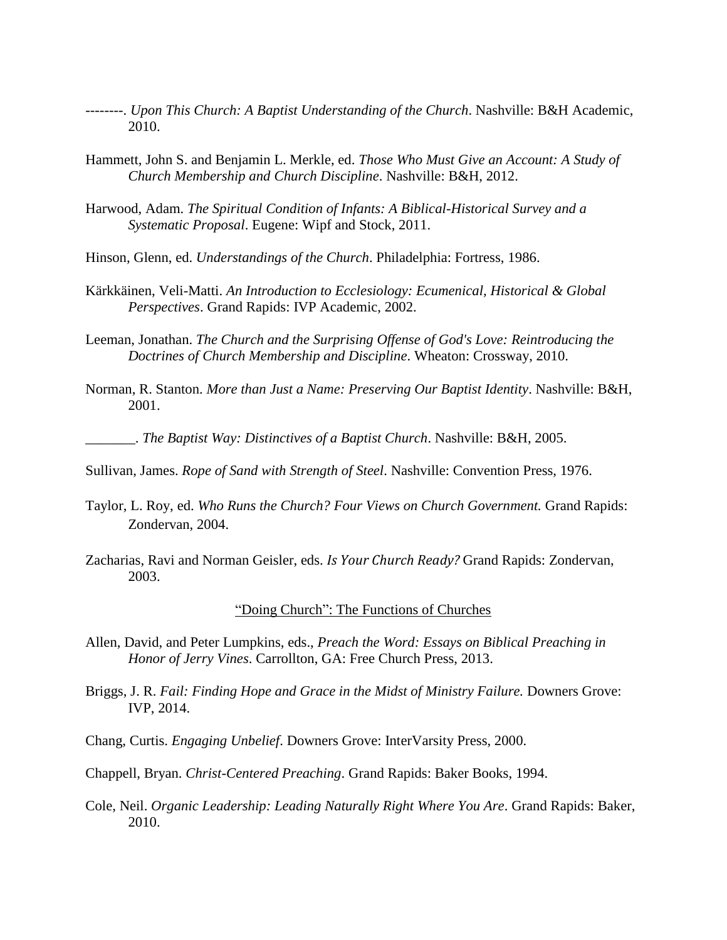- --------. *Upon This Church: A Baptist Understanding of the Church*. Nashville: B&H Academic, 2010.
- Hammett, John S. and Benjamin L. Merkle, ed. *Those Who Must Give an Account: A Study of Church Membership and Church Discipline*. Nashville: B&H, 2012.
- Harwood, Adam. *The Spiritual Condition of Infants: A Biblical-Historical Survey and a Systematic Proposal*. Eugene: Wipf and Stock, 2011.
- Hinson, Glenn, ed. *Understandings of the Church*. Philadelphia: Fortress, 1986.
- Kärkkäinen, Veli-Matti. *An Introduction to Ecclesiology: Ecumenical, Historical & Global Perspectives*. Grand Rapids: IVP Academic, 2002.
- Leeman, Jonathan. *The Church and the Surprising Offense of God's Love: Reintroducing the Doctrines of Church Membership and Discipline*. Wheaton: Crossway, 2010.
- Norman, R. Stanton. *More than Just a Name: Preserving Our Baptist Identity*. Nashville: B&H, 2001.

\_\_\_\_\_\_\_. *The Baptist Way: Distinctives of a Baptist Church*. Nashville: B&H, 2005.

- Sullivan, James. *Rope of Sand with Strength of Steel*. Nashville: Convention Press, 1976.
- Taylor, L. Roy, ed. *Who Runs the Church? Four Views on Church Government.* Grand Rapids: Zondervan, 2004.
- Zacharias, Ravi and Norman Geisler, eds. *Is Your Church Ready?* Grand Rapids: Zondervan, 2003.

#### "Doing Church": The Functions of Churches

- Allen, David, and Peter Lumpkins, eds., *Preach the Word: Essays on Biblical Preaching in Honor of Jerry Vines*. Carrollton, GA: Free Church Press, 2013.
- Briggs, J. R. *Fail: Finding Hope and Grace in the Midst of Ministry Failure.* Downers Grove: IVP, 2014.
- Chang, Curtis. *Engaging Unbelief*. Downers Grove: InterVarsity Press, 2000.

Chappell, Bryan. *Christ-Centered Preaching*. Grand Rapids: Baker Books, 1994.

Cole, Neil. *Organic Leadership: Leading Naturally Right Where You Are*. Grand Rapids: Baker, 2010.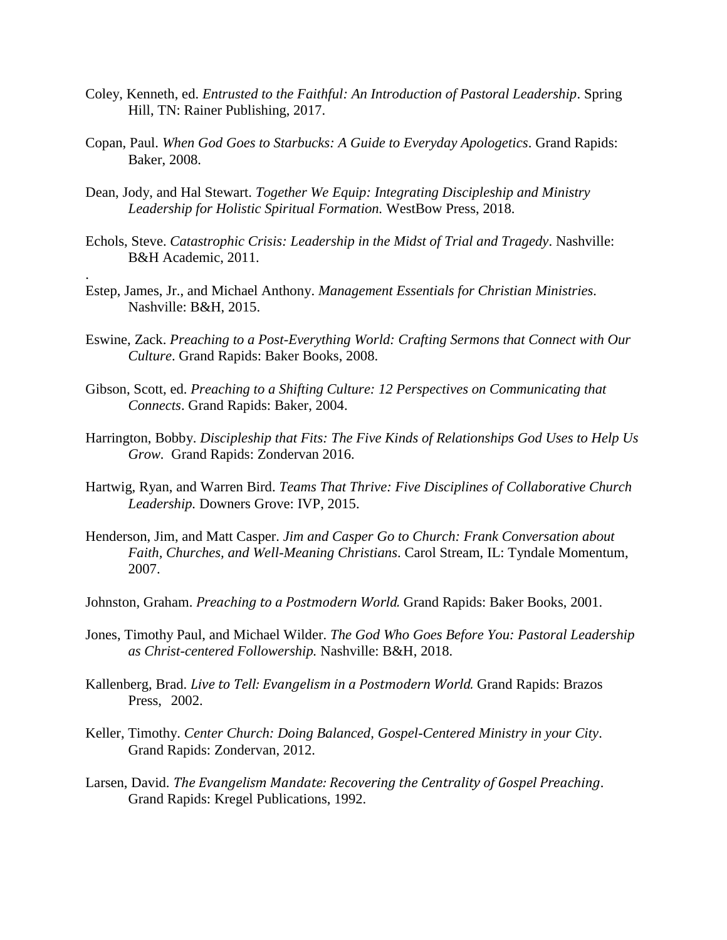- Coley, Kenneth, ed. *Entrusted to the Faithful: An Introduction of Pastoral Leadership*. Spring Hill, TN: Rainer Publishing, 2017.
- Copan, Paul. *When God Goes to Starbucks: A Guide to Everyday Apologetics*. Grand Rapids: Baker, 2008.
- Dean, Jody, and Hal Stewart. *Together We Equip: Integrating Discipleship and Ministry Leadership for Holistic Spiritual Formation.* WestBow Press, 2018.
- Echols, Steve. *Catastrophic Crisis: Leadership in the Midst of Trial and Tragedy*. Nashville: B&H Academic, 2011.
- Estep, James, Jr., and Michael Anthony. *Management Essentials for Christian Ministries.* Nashville: B&H, 2015.

.

- Eswine, Zack. *Preaching to a Post-Everything World: Crafting Sermons that Connect with Our Culture*. Grand Rapids: Baker Books, 2008.
- Gibson, Scott, ed. *Preaching to a Shifting Culture: 12 Perspectives on Communicating that Connects*. Grand Rapids: Baker, 2004.
- Harrington, Bobby. *Discipleship that Fits: The Five Kinds of Relationships God Uses to Help Us Grow.* Grand Rapids: Zondervan 2016.
- Hartwig, Ryan, and Warren Bird. *Teams That Thrive: Five Disciplines of Collaborative Church Leadership.* Downers Grove: IVP, 2015.
- Henderson, Jim, and Matt Casper. *Jim and Casper Go to Church: Frank Conversation about Faith, Churches, and Well-Meaning Christians*. Carol Stream, IL: Tyndale Momentum, 2007.
- Johnston, Graham. *Preaching to a Postmodern World.* Grand Rapids: Baker Books, 2001.
- Jones, Timothy Paul, and Michael Wilder. *The God Who Goes Before You: Pastoral Leadership as Christ-centered Followership.* Nashville: B&H, 2018.
- Kallenberg, Brad. *Live to Tell: Evangelism in a Postmodern World.* Grand Rapids: Brazos Press, 2002.
- Keller, Timothy. *Center Church: Doing Balanced, Gospel-Centered Ministry in your City*. Grand Rapids: Zondervan, 2012.
- Larsen, David. *The Evangelism Mandate: Recovering the Centrality of Gospel Preaching*. Grand Rapids: Kregel Publications, 1992.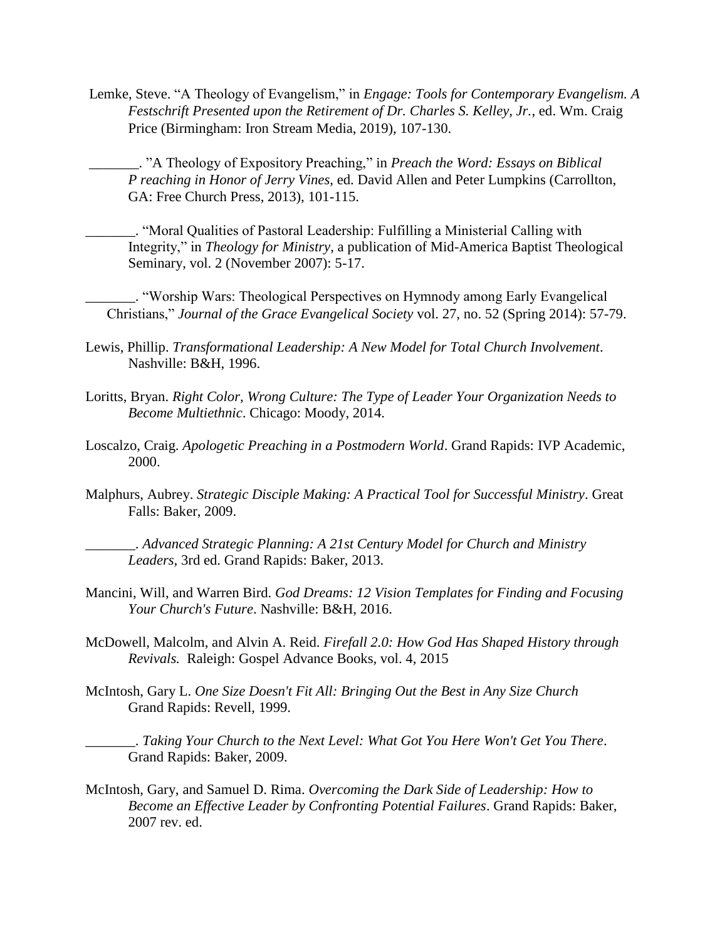Lemke, Steve. "A Theology of Evangelism," in *Engage: Tools for Contemporary Evangelism. A Festschrift Presented upon the Retirement of Dr. Charles S. Kelley, Jr.*, ed. Wm. Craig Price (Birmingham: Iron Stream Media, 2019), 107-130.

\_\_\_\_\_\_\_. "A Theology of Expository Preaching," in *Preach the Word: Essays on Biblical P reaching in Honor of Jerry Vines*, ed. David Allen and Peter Lumpkins (Carrollton, GA: Free Church Press, 2013), 101-115.

\_\_\_\_\_\_\_. "Moral Qualities of Pastoral Leadership: Fulfilling a Ministerial Calling with Integrity," in *Theology for Ministry*, a publication of Mid-America Baptist Theological Seminary, vol. 2 (November 2007): 5-17.

\_\_\_\_\_\_\_. "Worship Wars: Theological Perspectives on Hymnody among Early Evangelical Christians," *Journal of the Grace Evangelical Society* vol. 27, no. 52 (Spring 2014): 57-79.

- Lewis, Phillip. *Transformational Leadership: A New Model for Total Church Involvement*. Nashville: B&H, 1996.
- Loritts, Bryan. *Right Color, Wrong Culture: The Type of Leader Your Organization Needs to Become Multiethnic*. Chicago: Moody, 2014.
- Loscalzo, Craig. *Apologetic Preaching in a Postmodern World*. Grand Rapids: IVP Academic, 2000.
- Malphurs, Aubrey. *Strategic Disciple Making: A Practical Tool for Successful Ministry*. Great Falls: Baker, 2009.

\_\_\_\_\_\_\_. *Advanced Strategic Planning: A 21st Century Model for Church and Ministry Leaders,* 3rd ed. Grand Rapids: Baker, 2013.

- Mancini, Will, and Warren Bird. *God Dreams: 12 Vision Templates for Finding and Focusing Your Church's Future*. Nashville: B&H, 2016.
- McDowell, Malcolm, and Alvin A. Reid. *Firefall 2.0: How God Has Shaped History through Revivals.* Raleigh: Gospel Advance Books, vol. 4, 2015
- McIntosh, Gary L. *One Size Doesn't Fit All: Bringing Out the Best in Any Size Church* Grand Rapids: Revell, 1999.

\_\_\_\_\_\_\_. *Taking Your Church to the Next Level: What Got You Here Won't Get You There*. Grand Rapids: Baker, 2009.

McIntosh, Gary, and Samuel D. Rima. *Overcoming the Dark Side of Leadership: How to Become an Effective Leader by Confronting Potential Failures*. Grand Rapids: Baker, 2007 rev. ed.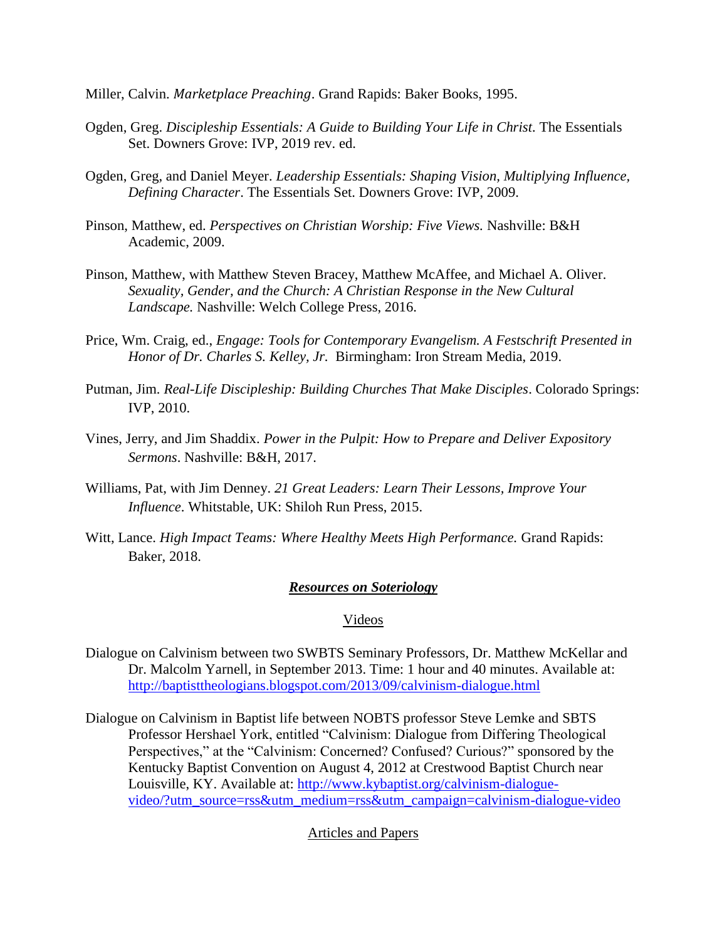- Miller, Calvin. *Marketplace Preaching*. Grand Rapids: Baker Books, 1995.
- Ogden, Greg. *Discipleship Essentials: A Guide to Building Your Life in Christ.* The Essentials Set. Downers Grove: IVP, 2019 rev. ed.
- Ogden, Greg, and Daniel Meyer. *Leadership Essentials: Shaping Vision, Multiplying Influence, Defining Character*. The Essentials Set. Downers Grove: IVP, 2009.
- Pinson, Matthew, ed. *Perspectives on Christian Worship: Five Views.* Nashville: B&H Academic, 2009.
- Pinson, Matthew, with Matthew Steven Bracey, Matthew McAffee, and Michael A. Oliver. *Sexuality, Gender, and the Church: A Christian Response in the New Cultural Landscape.* Nashville: Welch College Press, 2016.
- Price, Wm. Craig, ed., *Engage: Tools for Contemporary Evangelism. A Festschrift Presented in Honor of Dr. Charles S. Kelley, Jr.* Birmingham: Iron Stream Media, 2019.
- Putman, Jim*. Real-Life Discipleship: Building Churches That Make Disciples*. Colorado Springs: IVP, 2010.
- Vines, Jerry, and Jim Shaddix. *Power in the Pulpit: How to Prepare and Deliver Expository Sermons*. Nashville: B&H, 2017.
- Williams, Pat, with Jim Denney. *21 Great Leaders: Learn Their Lessons, Improve Your Influence*. Whitstable, UK: Shiloh Run Press, 2015.
- Witt, Lance. *High Impact Teams: Where Healthy Meets High Performance.* Grand Rapids: Baker, 2018.

## *Resources on Soteriology*

#### Videos

- Dialogue on Calvinism between two SWBTS Seminary Professors, Dr. Matthew McKellar and Dr. Malcolm Yarnell, in September 2013. Time: 1 hour and 40 minutes. Available at: <http://baptisttheologians.blogspot.com/2013/09/calvinism-dialogue.html>
- Dialogue on Calvinism in Baptist life between NOBTS professor Steve Lemke and SBTS Professor Hershael York, entitled "Calvinism: Dialogue from Differing Theological Perspectives," at the "Calvinism: Concerned? Confused? Curious?" sponsored by the Kentucky Baptist Convention on August 4, 2012 at Crestwood Baptist Church near Louisville, KY. Available at: [http://www.kybaptist.org/calvinism-dialogue](http://www.kybaptist.org/calvinism-dialogue-video/?utm_source=rss&utm_medium=rss&utm_campaign=calvinism-dialogue-video)[video/?utm\\_source=rss&utm\\_medium=rss&utm\\_campaign=calvinism-dialogue-video](http://www.kybaptist.org/calvinism-dialogue-video/?utm_source=rss&utm_medium=rss&utm_campaign=calvinism-dialogue-video)

#### Articles and Papers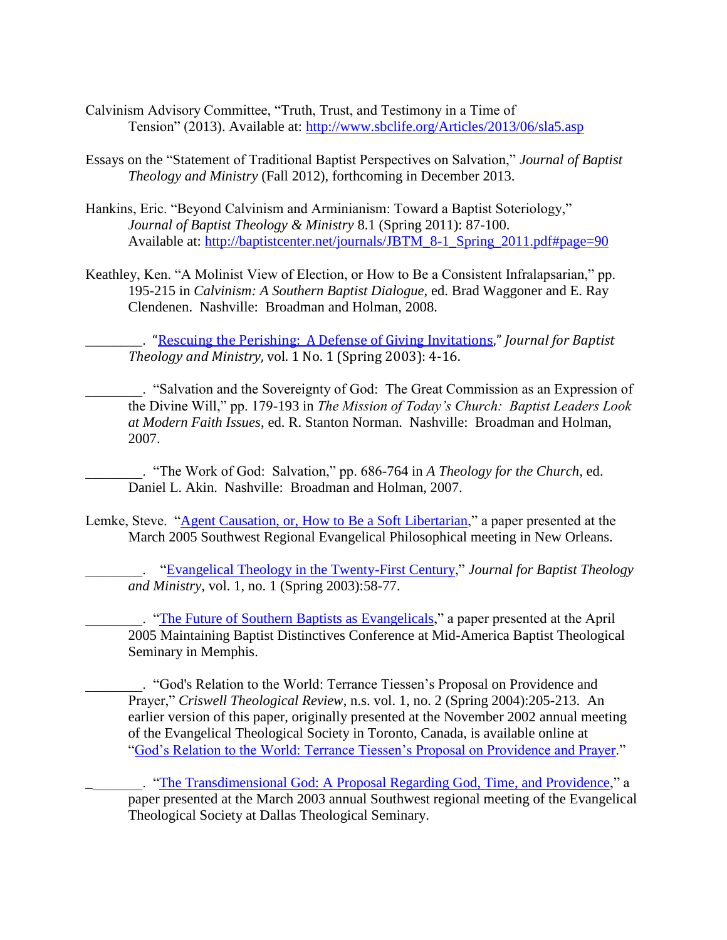- Calvinism Advisory Committee, "Truth, Trust, and Testimony in a Time of Tension" (2013). Available at:<http://www.sbclife.org/Articles/2013/06/sla5.asp>
- Essays on the "Statement of Traditional Baptist Perspectives on Salvation," *Journal of Baptist Theology and Ministry* (Fall 2012), forthcoming in December 2013.
- Hankins, Eric. "Beyond Calvinism and Arminianism: Toward a Baptist Soteriology," *Journal of Baptist Theology & Ministry* 8.1 (Spring 2011): 87-100. Available at: [http://baptistcenter.net/journals/JBTM\\_8-1\\_Spring\\_2011.pdf#page=90](http://baptistcenter.net/journals/JBTM_8-1_Spring_2011.pdf#page=90)
- Keathley, Ken. "A Molinist View of Election, or How to Be a Consistent Infralapsarian," pp. 195-215 in *Calvinism: A Southern Baptist Dialogue*, ed. Brad Waggoner and E. Ray Clendenen. Nashville: Broadman and Holman, 2008.

\_\_\_\_\_\_\_\_. "[Rescuing the Perishing: A Defense of Giving Invitations](http://baptistcenter.com/Journal%20Articles/Spr%202003/02%20Rescuing%20the%20Perishing%20-%20Spr%202003.pdf)," *Journal for Baptist Theology and Ministry*, vol. 1 No. 1 (Spring 2003): 4-16.

\_\_\_\_\_\_\_\_. "Salvation and the Sovereignty of God: The Great Commission as an Expression of the Divine Will," pp. 179-193 in *The Mission of Today's Church: Baptist Leaders Look at Modern Faith Issues*, ed. R. Stanton Norman. Nashville: Broadman and Holman, 2007.

\_\_\_\_\_\_\_\_. "The Work of God: Salvation," pp. 686-764 in *A Theology for the Church*, ed. Daniel L. Akin. Nashville: Broadman and Holman, 2007.

Lemke, Steve. ["Agent Causation, or, How to Be a Soft Libertarian,](http://www.nobts.edu/Faculty/ItoR/LemkeSW/Personal/Tiessen.htm.html)" a paper presented at the March 2005 Southwest Regional Evangelical Philosophical meeting in New Orleans.

\_\_\_\_\_\_\_\_. ["Evangelical Theology in the Twenty-First Century,](http://www.nobts.edu/Faculty/ItoR/LemkeSW/Personal/Tiessen.htm.html)" *Journal for Baptist Theology and Ministry,* vol. 1, no. 1 (Spring 2003):58-77.

\_\_\_\_\_\_\_\_. ["The Future of Southern Baptists as Evangelicals,](http://www.nobts.edu/Faculty/ItoR/LemkeSW/Personal/Tiessen.htm.html)" a paper presented at the April 2005 Maintaining Baptist Distinctives Conference at Mid-America Baptist Theological Seminary in Memphis.

\_\_\_\_\_\_\_\_. "God's Relation to the World: Terrance Tiessen's Proposal on Providence and Prayer," *Criswell Theological Review*, n.s. vol. 1, no. 2 (Spring 2004):205-213. An earlier version of this paper, originally presented at the November 2002 annual meeting of the Evangelical Theological Society in Toronto, Canada, is available online at ["God's Relation to the World: Terrance Tiessen's Proposal on Providence and Prayer.](http://www.nobts.edu/Faculty/ItoR/LemkeSW/Personal/Tiessen.htm.html)"

\_\_\_\_\_\_\_\_. ["The Transdimensional God: A Proposal Regarding God, Time, and Providence,](http://www.nobts.edu/Faculty/ItoR/LemkeSW/Personal/Tiessen.htm.html)" a paper presented at the March 2003 annual Southwest regional meeting of the Evangelical Theological Society at Dallas Theological Seminary.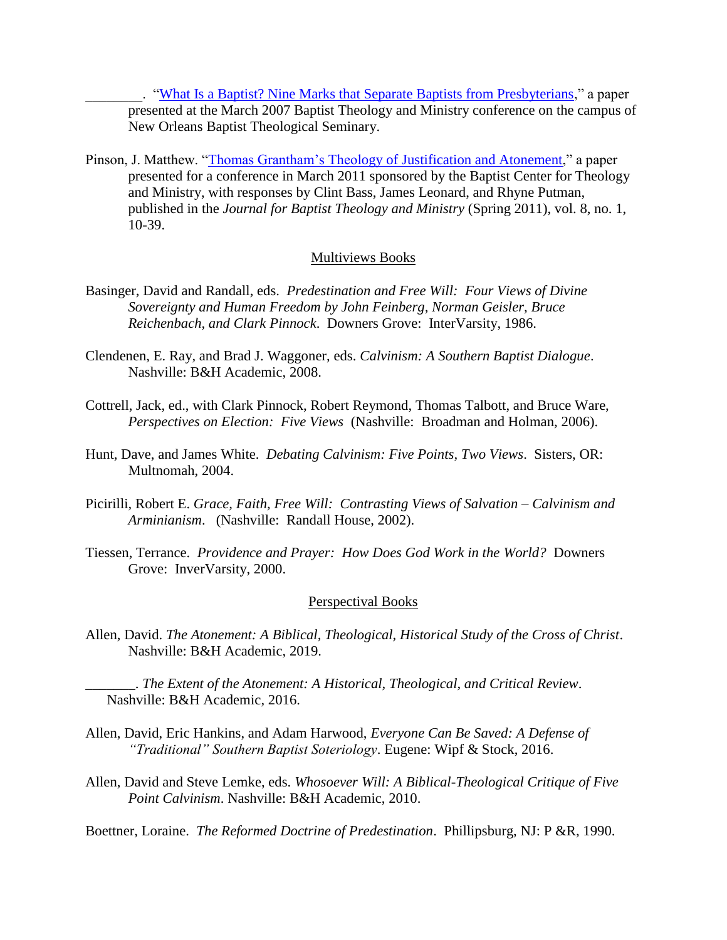\_\_\_\_\_\_\_\_. ["What Is a Baptist? Nine Marks that Separate Baptists from Presbyterians,](http://www.nobts.edu/Faculty/ItoR/LemkeSW/Personal/Tiessen.htm.html)" a paper presented at the March 2007 Baptist Theology and Ministry conference on the campus of New Orleans Baptist Theological Seminary.

Pinson, J. Matthew. ["Thomas Grantham's Theology of Justification and Atonement,](http://www.baptistcenter.com/Documents/Journals/JBTM%208.1%20Spring11.pdf#page=10)" a paper presented for a conference in March 2011 sponsored by the Baptist Center for Theology and Ministry, with responses by Clint Bass, James Leonard, and Rhyne Putman, published in the *Journal for Baptist Theology and Ministry* (Spring 2011), vol. 8, no. 1, 10-39.

#### Multiviews Books

- Basinger, David and Randall, eds. *Predestination and Free Will: Four Views of Divine Sovereignty and Human Freedom by John Feinberg, Norman Geisler, Bruce Reichenbach, and Clark Pinnock*. Downers Grove: InterVarsity, 1986.
- Clendenen, E. Ray, and Brad J. Waggoner, eds. *Calvinism: A Southern Baptist Dialogue*. Nashville: B&H Academic, 2008.
- Cottrell, Jack, ed., with Clark Pinnock, Robert Reymond, Thomas Talbott, and Bruce Ware, *Perspectives on Election: Five Views* (Nashville: Broadman and Holman, 2006).
- Hunt, Dave, and James White. *Debating Calvinism: Five Points, Two Views*. Sisters, OR: Multnomah, 2004.
- Picirilli, Robert E. *Grace, Faith, Free Will: Contrasting Views of Salvation – Calvinism and Arminianism*. (Nashville: Randall House, 2002).
- Tiessen, Terrance. *Providence and Prayer: How Does God Work in the World?* Downers Grove: InverVarsity, 2000.

#### Perspectival Books

Allen, David. *The Atonement: A Biblical, Theological, Historical Study of the Cross of Christ*. Nashville: B&H Academic, 2019.

\_\_\_\_\_\_\_. *The Extent of the Atonement: A Historical, Theological, and Critical Review*. Nashville: B&H Academic, 2016.

- Allen, David, Eric Hankins, and Adam Harwood, *Everyone Can Be Saved: A Defense of "Traditional" Southern Baptist Soteriology*. Eugene: Wipf & Stock, 2016.
- Allen, David and Steve Lemke, eds. *Whosoever Will: A Biblical-Theological Critique of Five Point Calvinism*. Nashville: B&H Academic, 2010.

Boettner, Loraine. *The Reformed Doctrine of Predestination*. Phillipsburg, NJ: P &R, 1990.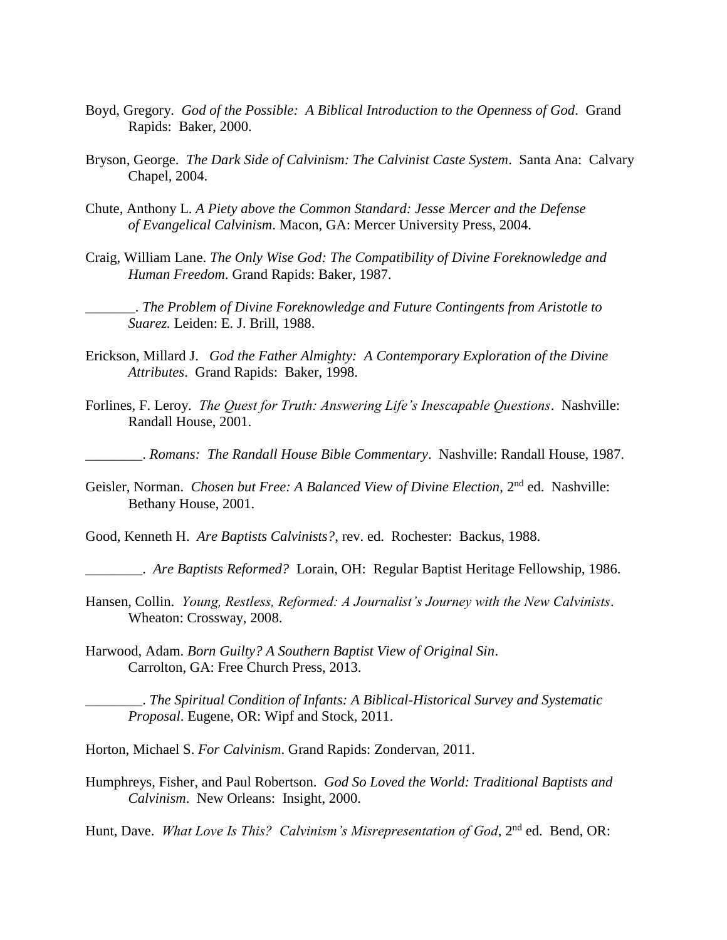- Boyd, Gregory. *God of the Possible: A Biblical Introduction to the Openness of God*. Grand Rapids: Baker, 2000.
- Bryson, George. *The Dark Side of Calvinism: The Calvinist Caste System*. Santa Ana: Calvary Chapel, 2004.
- Chute, Anthony L. *A Piety above the Common Standard: Jesse Mercer and the Defense of Evangelical Calvinism*. Macon, GA: Mercer University Press, 2004.
- Craig, William Lane. *The Only Wise God: The Compatibility of Divine Foreknowledge and Human Freedom*. Grand Rapids: Baker, 1987.

\_\_\_\_\_\_\_. *The Problem of Divine Foreknowledge and Future Contingents from Aristotle to Suarez.* Leiden: E. J. Brill, 1988.

- Erickson, Millard J. *God the Father Almighty: A Contemporary Exploration of the Divine Attributes*. Grand Rapids: Baker, 1998.
- Forlines, F. Leroy. *The Quest for Truth: Answering Life's Inescapable Questions*. Nashville: Randall House, 2001.
	- \_\_\_\_\_\_\_\_. *Romans: The Randall House Bible Commentary*. Nashville: Randall House, 1987.
- Geisler, Norman. *Chosen but Free: A Balanced View of Divine Election*, 2nd ed. Nashville: Bethany House, 2001.
- Good, Kenneth H. *Are Baptists Calvinists?*, rev. ed. Rochester: Backus, 1988.
- \_\_\_\_\_\_\_\_. *Are Baptists Reformed?* Lorain, OH: Regular Baptist Heritage Fellowship, 1986.
- Hansen, Collin. *Young, Restless, Reformed: A Journalist's Journey with the New Calvinists*. Wheaton: Crossway, 2008.
- Harwood, Adam. *Born Guilty? A Southern Baptist View of Original Sin*. Carrolton, GA: Free Church Press, 2013.

\_\_\_\_\_\_\_\_. *The Spiritual Condition of Infants: A Biblical-Historical Survey and Systematic Proposal*. Eugene, OR: Wipf and Stock, 2011.

- Horton, Michael S. *For Calvinism*. Grand Rapids: Zondervan, 2011.
- Humphreys, Fisher, and Paul Robertson. *God So Loved the World: Traditional Baptists and Calvinism*. New Orleans: Insight, 2000.

Hunt, Dave. *What Love Is This? Calvinism's Misrepresentation of God*, 2<sup>nd</sup> ed. Bend, OR: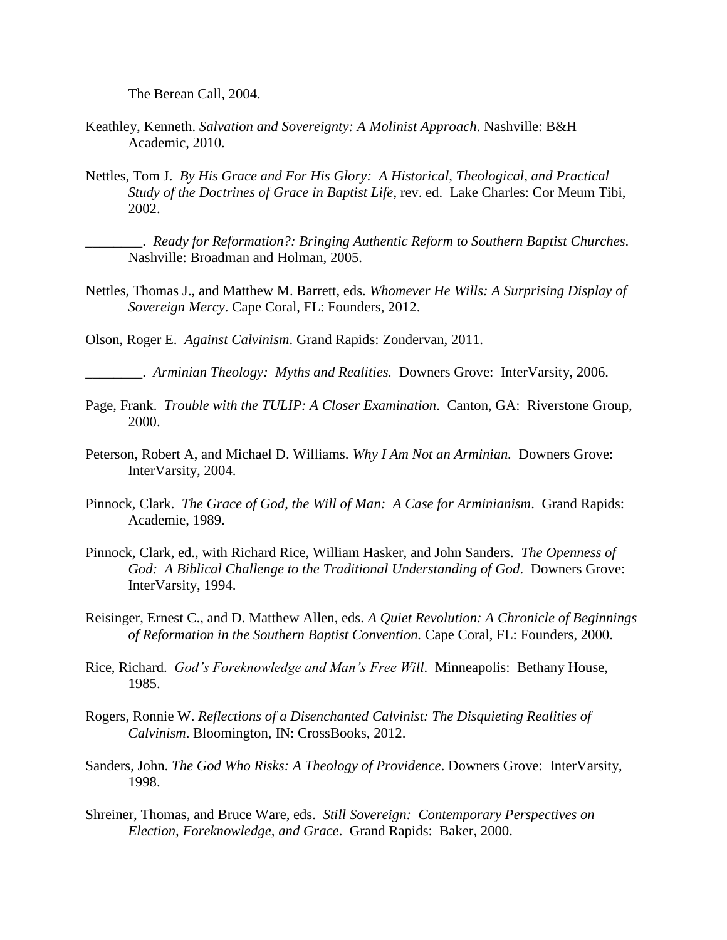The Berean Call, 2004.

- Keathley, Kenneth. *Salvation and Sovereignty: A Molinist Approach*. Nashville: B&H Academic, 2010.
- Nettles, Tom J. *By His Grace and For His Glory: A Historical, Theological, and Practical Study of the Doctrines of Grace in Baptist Life*, rev. ed. Lake Charles: Cor Meum Tibi, 2002.

\_\_\_\_\_\_\_\_. *Ready for Reformation?: Bringing Authentic Reform to Southern Baptist Churches*. Nashville: Broadman and Holman, 2005.

Nettles, Thomas J., and Matthew M. Barrett, eds. *Whomever He Wills: A Surprising Display of Sovereign Mercy*. Cape Coral, FL: Founders, 2012.

Olson, Roger E. *Against Calvinism*. Grand Rapids: Zondervan, 2011.

\_\_\_\_\_\_\_\_. *Arminian Theology: Myths and Realities.* Downers Grove: InterVarsity, 2006.

- Page, Frank. *Trouble with the TULIP: A Closer Examination*. Canton, GA: Riverstone Group, 2000.
- Peterson, Robert A, and Michael D. Williams. *Why I Am Not an Arminian.* Downers Grove: InterVarsity, 2004.
- Pinnock, Clark. *The Grace of God, the Will of Man: A Case for Arminianism*. Grand Rapids: Academie, 1989.
- Pinnock, Clark, ed., with Richard Rice, William Hasker, and John Sanders. *The Openness of God: A Biblical Challenge to the Traditional Understanding of God*. Downers Grove: InterVarsity, 1994.
- Reisinger, Ernest C., and D. Matthew Allen, eds. *A Quiet Revolution: A Chronicle of Beginnings of Reformation in the Southern Baptist Convention.* Cape Coral, FL: Founders, 2000.
- Rice, Richard. *God's Foreknowledge and Man's Free Will*. Minneapolis: Bethany House, 1985.
- Rogers, Ronnie W. *Reflections of a Disenchanted Calvinist: The Disquieting Realities of Calvinism*. Bloomington, IN: CrossBooks, 2012.
- Sanders, John. *The God Who Risks: A Theology of Providence*. Downers Grove: InterVarsity, 1998.
- Shreiner, Thomas, and Bruce Ware, eds. *Still Sovereign: Contemporary Perspectives on Election, Foreknowledge, and Grace*. Grand Rapids: Baker, 2000.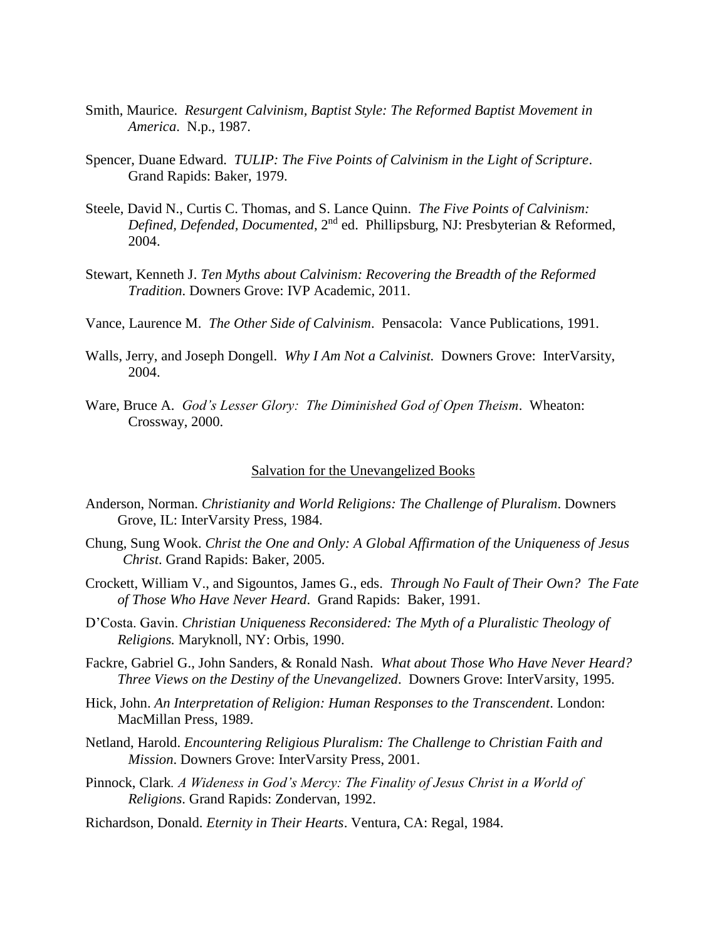- Smith, Maurice. *Resurgent Calvinism, Baptist Style: The Reformed Baptist Movement in America*. N.p., 1987.
- Spencer, Duane Edward. *TULIP: The Five Points of Calvinism in the Light of Scripture*. Grand Rapids: Baker, 1979.
- Steele, David N., Curtis C. Thomas, and S. Lance Quinn. *The Five Points of Calvinism: Defined, Defended, Documented*, 2nd ed. Phillipsburg, NJ: Presbyterian & Reformed, 2004.
- Stewart, Kenneth J. *Ten Myths about Calvinism: Recovering the Breadth of the Reformed Tradition*. Downers Grove: IVP Academic, 2011.
- Vance, Laurence M. *The Other Side of Calvinism*. Pensacola: Vance Publications, 1991.
- Walls, Jerry, and Joseph Dongell. *Why I Am Not a Calvinist.* Downers Grove: InterVarsity, 2004.
- Ware, Bruce A. *God's Lesser Glory: The Diminished God of Open Theism*. Wheaton: Crossway, 2000.

#### Salvation for the Unevangelized Books

- Anderson, Norman. *Christianity and World Religions: The Challenge of Pluralism*. Downers Grove, IL: InterVarsity Press, 1984.
- Chung, Sung Wook. *Christ the One and Only: A Global Affirmation of the Uniqueness of Jesus Christ*. Grand Rapids: Baker, 2005.
- Crockett, William V., and Sigountos, James G., eds. *Through No Fault of Their Own? The Fate of Those Who Have Never Heard*. Grand Rapids: Baker, 1991.
- D'Costa. Gavin. *Christian Uniqueness Reconsidered: The Myth of a Pluralistic Theology of Religions.* Maryknoll, NY: Orbis, 1990.
- Fackre, Gabriel G., John Sanders, & Ronald Nash. *What about Those Who Have Never Heard? Three Views on the Destiny of the Unevangelized*. Downers Grove: InterVarsity, 1995.
- Hick, John. *An Interpretation of Religion: Human Responses to the Transcendent*. London: MacMillan Press, 1989.
- Netland, Harold. *Encountering Religious Pluralism: The Challenge to Christian Faith and Mission*. Downers Grove: InterVarsity Press, 2001.
- Pinnock, Clark*. A Wideness in God's Mercy: The Finality of Jesus Christ in a World of Religions*. Grand Rapids: Zondervan, 1992.
- Richardson, Donald. *Eternity in Their Hearts*. Ventura, CA: Regal, 1984.